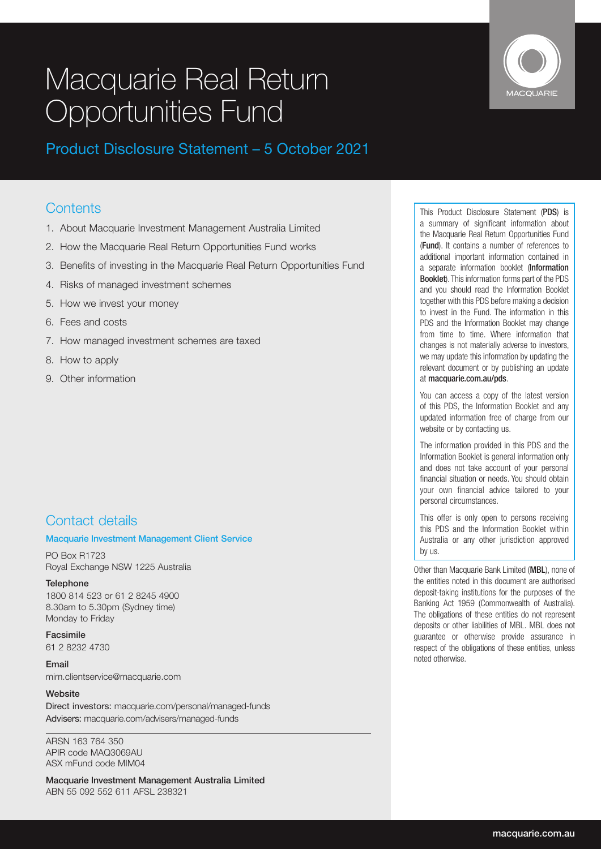# Macquarie Real Return **Opportunities Fund**



Product Disclosure Statement – 5 October 2021

# **Contents**

- 1. About Macquarie Investment Management Australia Limited
- 2. How the Macquarie Real Return Opportunities Fund works
- 3. Benefits of investing in the Macquarie Real Return Opportunities Fund
- 4. Risks of managed investment schemes
- 5. How we invest your money
- 6. Fees and costs
- 7. How managed investment schemes are taxed
- 8. How to apply
- 9. Other information

# Contact details

# Macquarie Investment Management Client Service

PO Box R1723 Royal Exchange NSW 1225 Australia

**Telephone** 1800 814 523 or 61 2 8245 4900 8.30am to 5.30pm (Sydney time) Monday to Friday

Facsimile 61 2 8232 4730

Email mim.clientservice@macquarie.com

# **Website**

Direct investors: macquarie.com/personal/managed-funds Advisers: macquarie.com/advisers/managed-funds

ARSN 163 764 350 APIR code MAQ3069AU ASX mFund code MIM04

Macquarie Investment Management Australia Limited ABN 55 092 552 611 AFSL 238321

This Product Disclosure Statement (PDS) is a summary of significant information about the Macquarie Real Return Opportunities Fund (Fund). It contains a number of references to additional important information contained in a separate information booklet (Information Booklet). This information forms part of the PDS and you should read the Information Booklet together with this PDS before making a decision to invest in the Fund. The information in this PDS and the Information Booklet may change from time to time. Where information that changes is not materially adverse to investors, we may update this information by updating the relevant document or by publishing an update at macquarie.com.au/pds.

You can access a copy of the latest version of this PDS, the Information Booklet and any updated information free of charge from our website or by contacting us.

The information provided in this PDS and the Information Booklet is general information only and does not take account of your personal financial situation or needs. You should obtain your own financial advice tailored to your personal circumstances.

This offer is only open to persons receiving this PDS and the Information Booklet within Australia or any other jurisdiction approved by us.

Other than Macquarie Bank Limited (MBL), none of the entities noted in this document are authorised deposit-taking institutions for the purposes of the Banking Act 1959 (Commonwealth of Australia). The obligations of these entities do not represent deposits or other liabilities of MBL. MBL does not guarantee or otherwise provide assurance in respect of the obligations of these entities, unless noted otherwise.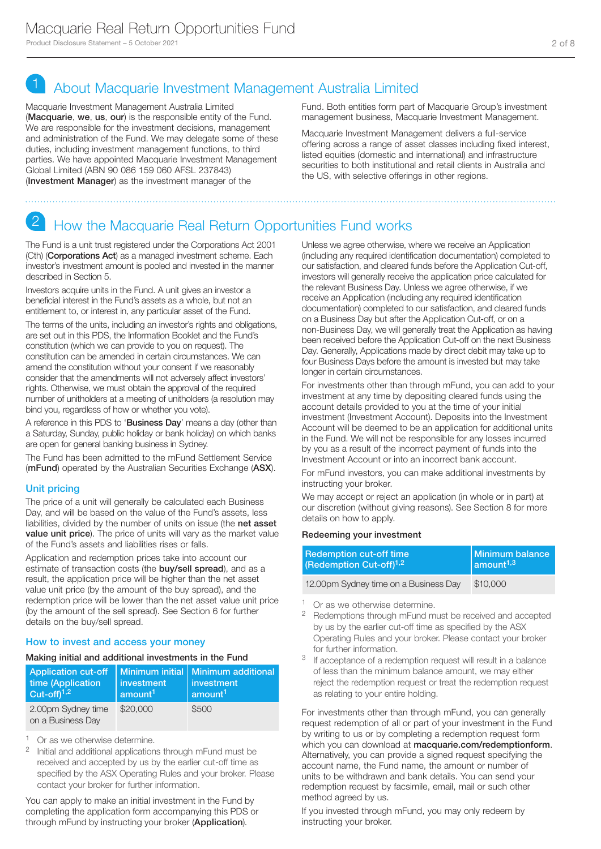# 1 About Macquarie Investment Management Australia Limited

Macquarie Investment Management Australia Limited (Macquarie, we, us, our) is the responsible entity of the Fund. We are responsible for the investment decisions, management and administration of the Fund. We may delegate some of these duties, including investment management functions, to third parties. We have appointed Macquarie Investment Management Global Limited (ABN 90 086 159 060 AFSL 237843) (Investment Manager) as the investment manager of the

Fund. Both entities form part of Macquarie Group's investment management business, Macquarie Investment Management.

Macquarie Investment Management delivers a full-service offering across a range of asset classes including fixed interest, listed equities (domestic and international) and infrastructure securities to both institutional and retail clients in Australia and the US, with selective offerings in other regions.

# 2 How the Macquarie Real Return Opportunities Fund works

The Fund is a unit trust registered under the Corporations Act 2001 (Cth) (Corporations Act) as a managed investment scheme. Each investor's investment amount is pooled and invested in the manner described in Section 5.

Investors acquire units in the Fund. A unit gives an investor a beneficial interest in the Fund's assets as a whole, but not an entitlement to, or interest in, any particular asset of the Fund.

The terms of the units, including an investor's rights and obligations, are set out in this PDS, the Information Booklet and the Fund's constitution (which we can provide to you on request). The constitution can be amended in certain circumstances. We can amend the constitution without your consent if we reasonably consider that the amendments will not adversely affect investors' rights. Otherwise, we must obtain the approval of the required number of unitholders at a meeting of unitholders (a resolution may bind you, regardless of how or whether you vote).

A reference in this PDS to 'Business Day' means a day (other than a Saturday, Sunday, public holiday or bank holiday) on which banks are open for general banking business in Sydney.

The Fund has been admitted to the mFund Settlement Service (mFund) operated by the Australian Securities Exchange (ASX).

# Unit pricing

The price of a unit will generally be calculated each Business Day, and will be based on the value of the Fund's assets, less liabilities, divided by the number of units on issue (the net asset value unit price). The price of units will vary as the market value of the Fund's assets and liabilities rises or falls.

Application and redemption prices take into account our estimate of transaction costs (the **buy/sell spread**), and as a result, the application price will be higher than the net asset value unit price (by the amount of the buy spread), and the redemption price will be lower than the net asset value unit price (by the amount of the sell spread). See Section 6 for further details on the buy/sell spread.

### How to invest and access your money

#### Making initial and additional investments in the Fund

| <b>Application cut-off</b><br>time (Application<br>Cut-off $1,2$ | investment<br>amount <sup>1</sup> | Minimum initial   Minimum additional<br>investment<br>amount <sup>1</sup> |
|------------------------------------------------------------------|-----------------------------------|---------------------------------------------------------------------------|
| 2.00pm Sydney time<br>on a Business Day                          | \$20,000                          | \$500                                                                     |

<sup>1</sup> Or as we otherwise determine.

<sup>2</sup> Initial and additional applications through mFund must be received and accepted by us by the earlier cut-off time as specified by the ASX Operating Rules and your broker. Please contact your broker for further information.

You can apply to make an initial investment in the Fund by completing the application form accompanying this PDS or through mFund by instructing your broker (Application).

Unless we agree otherwise, where we receive an Application (including any required identification documentation) completed to our satisfaction, and cleared funds before the Application Cut-off, investors will generally receive the application price calculated for the relevant Business Day. Unless we agree otherwise, if we receive an Application (including any required identification documentation) completed to our satisfaction, and cleared funds on a Business Day but after the Application Cut-off, or on a non-Business Day, we will generally treat the Application as having been received before the Application Cut-off on the next Business Day. Generally, Applications made by direct debit may take up to four Business Days before the amount is invested but may take longer in certain circumstances.

For investments other than through mFund, you can add to your investment at any time by depositing cleared funds using the account details provided to you at the time of your initial investment (Investment Account). Deposits into the Investment Account will be deemed to be an application for additional units in the Fund. We will not be responsible for any losses incurred by you as a result of the incorrect payment of funds into the Investment Account or into an incorrect bank account.

For mFund investors, you can make additional investments by instructing your broker.

We may accept or reject an application (in whole or in part) at our discretion (without giving reasons). See Section 8 for more details on how to apply.

#### Redeeming your investment

| <b>Redemption cut-off time</b>        | Minimum balance                  |  |
|---------------------------------------|----------------------------------|--|
| (Redemption Cut-off) <sup>1,2</sup>   | $\sqrt{2}$ amount <sup>1,3</sup> |  |
| 12.00pm Sydney time on a Business Day | \$10,000                         |  |

<sup>1</sup> Or as we otherwise determine.

- Redemptions through mFund must be received and accepted by us by the earlier cut-off time as specified by the ASX Operating Rules and your broker. Please contact your broker for further information.
- <sup>3</sup> If acceptance of a redemption request will result in a balance of less than the minimum balance amount, we may either reject the redemption request or treat the redemption request as relating to your entire holding.

For investments other than through mFund, you can generally request redemption of all or part of your investment in the Fund by writing to us or by completing a redemption request form which you can download at macquarie.com/redemptionform. Alternatively, you can provide a signed request specifying the account name, the Fund name, the amount or number of units to be withdrawn and bank details. You can send your redemption request by facsimile, email, mail or such other method agreed by us.

If you invested through mFund, you may only redeem by instructing your broker.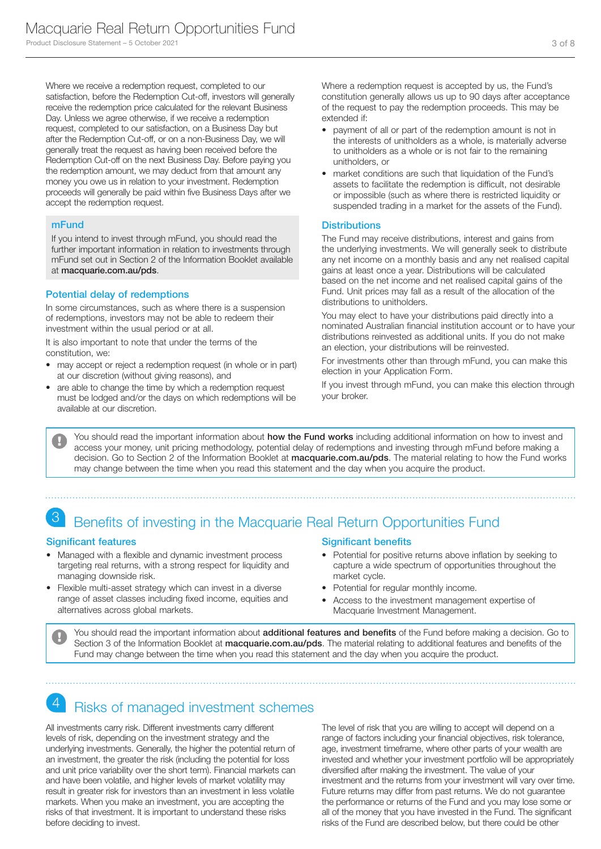Where we receive a redemption request, completed to our satisfaction, before the Redemption Cut-off, investors will generally receive the redemption price calculated for the relevant Business Day. Unless we agree otherwise, if we receive a redemption request, completed to our satisfaction, on a Business Day but after the Redemption Cut-off, or on a non-Business Day, we will generally treat the request as having been received before the Redemption Cut-off on the next Business Day. Before paying you the redemption amount, we may deduct from that amount any money you owe us in relation to your investment. Redemption proceeds will generally be paid within five Business Days after we accept the redemption request.

### mFund

If you intend to invest through mFund, you should read the further important information in relation to investments through mFund set out in Section 2 of the Information Booklet available at macquarie.com.au/pds.

### Potential delay of redemptions

In some circumstances, such as where there is a suspension of redemptions, investors may not be able to redeem their investment within the usual period or at all.

It is also important to note that under the terms of the constitution, we:

- may accept or reject a redemption request (in whole or in part) at our discretion (without giving reasons), and
- are able to change the time by which a redemption request must be lodged and/or the days on which redemptions will be available at our discretion.

Where a redemption request is accepted by us, the Fund's constitution generally allows us up to 90 days after acceptance of the request to pay the redemption proceeds. This may be extended if:

- payment of all or part of the redemption amount is not in the interests of unitholders as a whole, is materially adverse to unitholders as a whole or is not fair to the remaining unitholders, or
- market conditions are such that liquidation of the Fund's assets to facilitate the redemption is difficult, not desirable or impossible (such as where there is restricted liquidity or suspended trading in a market for the assets of the Fund).

#### **Distributions**

The Fund may receive distributions, interest and gains from the underlying investments. We will generally seek to distribute any net income on a monthly basis and any net realised capital gains at least once a year. Distributions will be calculated based on the net income and net realised capital gains of the Fund. Unit prices may fall as a result of the allocation of the distributions to unitholders.

You may elect to have your distributions paid directly into a nominated Australian financial institution account or to have your distributions reinvested as additional units. If you do not make an election, your distributions will be reinvested.

For investments other than through mFund, you can make this election in your Application Form.

If you invest through mFund, you can make this election through your broker.

You should read the important information about how the Fund works including additional information on how to invest and access your money, unit pricing methodology, potential delay of redemptions and investing through mFund before making a decision. Go to Section 2 of the Information Booklet at macquarie.com.au/pds. The material relating to how the Fund works may change between the time when you read this statement and the day when you acquire the product.

# 3 Benefits of investing in the Macquarie Real Return Opportunities Fund

### Significant features

- Managed with a flexible and dynamic investment process targeting real returns, with a strong respect for liquidity and managing downside risk.
- Flexible multi-asset strategy which can invest in a diverse range of asset classes including fixed income, equities and alternatives across global markets.

# Significant benefits

- Potential for positive returns above inflation by seeking to capture a wide spectrum of opportunities throughout the market cycle.
- Potential for regular monthly income.
- Access to the investment management expertise of Macquarie Investment Management.

You should read the important information about additional features and benefits of the Fund before making a decision. Go to Section 3 of the Information Booklet at macquarie.com.au/pds. The material relating to additional features and benefits of the Fund may change between the time when you read this statement and the day when you acquire the product.

# Risks of managed investment schemes

All investments carry risk. Different investments carry different levels of risk, depending on the investment strategy and the underlying investments. Generally, the higher the potential return of an investment, the greater the risk (including the potential for loss and unit price variability over the short term). Financial markets can and have been volatile, and higher levels of market volatility may result in greater risk for investors than an investment in less volatile markets. When you make an investment, you are accepting the risks of that investment. It is important to understand these risks before deciding to invest.

The level of risk that you are willing to accept will depend on a range of factors including your financial objectives, risk tolerance, age, investment timeframe, where other parts of your wealth are invested and whether your investment portfolio will be appropriately diversified after making the investment. The value of your investment and the returns from your investment will vary over time. Future returns may differ from past returns. We do not guarantee the performance or returns of the Fund and you may lose some or all of the money that you have invested in the Fund. The significant risks of the Fund are described below, but there could be other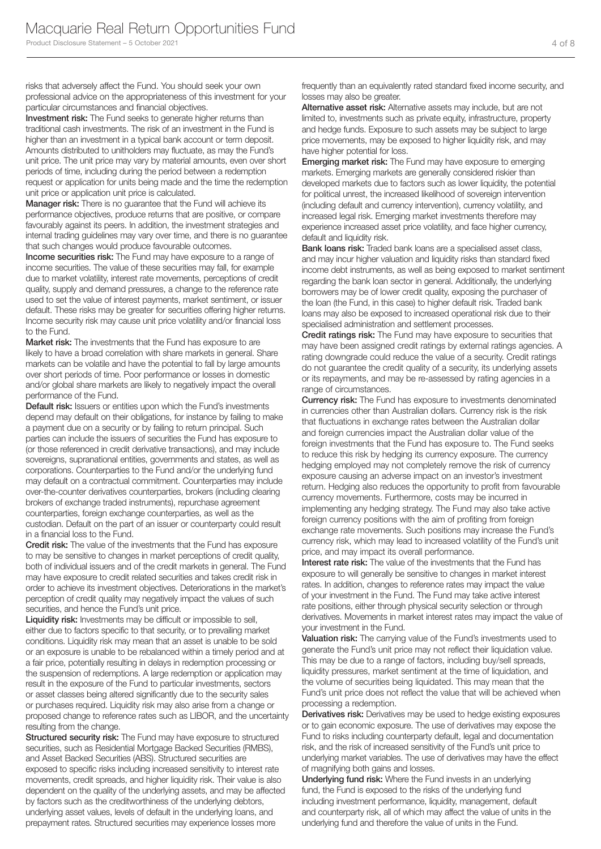risks that adversely affect the Fund. You should seek your own professional advice on the appropriateness of this investment for your particular circumstances and financial objectives.

**Investment risk:** The Fund seeks to generate higher returns than traditional cash investments. The risk of an investment in the Fund is higher than an investment in a typical bank account or term deposit. Amounts distributed to unitholders may fluctuate, as may the Fund's unit price. The unit price may vary by material amounts, even over short periods of time, including during the period between a redemption request or application for units being made and the time the redemption unit price or application unit price is calculated.

**Manager risk:** There is no guarantee that the Fund will achieve its performance objectives, produce returns that are positive, or compare favourably against its peers. In addition, the investment strategies and internal trading guidelines may vary over time, and there is no guarantee that such changes would produce favourable outcomes.

**Income securities risk:** The Fund may have exposure to a range of income securities. The value of these securities may fall, for example due to market volatility, interest rate movements, perceptions of credit quality, supply and demand pressures, a change to the reference rate used to set the value of interest payments, market sentiment, or issuer default. These risks may be greater for securities offering higher returns. Income security risk may cause unit price volatility and/or financial loss to the Fund.

Market risk: The investments that the Fund has exposure to are likely to have a broad correlation with share markets in general. Share markets can be volatile and have the potential to fall by large amounts over short periods of time. Poor performance or losses in domestic and/or global share markets are likely to negatively impact the overall performance of the Fund.

**Default risk:** Issuers or entities upon which the Fund's investments depend may default on their obligations, for instance by failing to make a payment due on a security or by failing to return principal. Such parties can include the issuers of securities the Fund has exposure to (or those referenced in credit derivative transactions), and may include sovereigns, supranational entities, governments and states, as well as corporations. Counterparties to the Fund and/or the underlying fund may default on a contractual commitment. Counterparties may include over-the-counter derivatives counterparties, brokers (including clearing brokers of exchange traded instruments), repurchase agreement counterparties, foreign exchange counterparties, as well as the custodian. Default on the part of an issuer or counterparty could result in a financial loss to the Fund.

Credit risk: The value of the investments that the Fund has exposure to may be sensitive to changes in market perceptions of credit quality, both of individual issuers and of the credit markets in general. The Fund may have exposure to credit related securities and takes credit risk in order to achieve its investment objectives. Deteriorations in the market's perception of credit quality may negatively impact the values of such securities, and hence the Fund's unit price.

Liquidity risk: Investments may be difficult or impossible to sell, either due to factors specific to that security, or to prevailing market conditions. Liquidity risk may mean that an asset is unable to be sold or an exposure is unable to be rebalanced within a timely period and at a fair price, potentially resulting in delays in redemption processing or the suspension of redemptions. A large redemption or application may result in the exposure of the Fund to particular investments, sectors or asset classes being altered significantly due to the security sales or purchases required. Liquidity risk may also arise from a change or proposed change to reference rates such as LIBOR, and the uncertainty resulting from the change.

Structured security risk: The Fund may have exposure to structured securities, such as Residential Mortgage Backed Securities (RMBS), and Asset Backed Securities (ABS). Structured securities are exposed to specific risks including increased sensitivity to interest rate movements, credit spreads, and higher liquidity risk. Their value is also dependent on the quality of the underlying assets, and may be affected by factors such as the creditworthiness of the underlying debtors, underlying asset values, levels of default in the underlying loans, and prepayment rates. Structured securities may experience losses more

frequently than an equivalently rated standard fixed income security, and losses may also be greater.

Alternative asset risk: Alternative assets may include, but are not limited to, investments such as private equity, infrastructure, property and hedge funds. Exposure to such assets may be subject to large price movements, may be exposed to higher liquidity risk, and may have higher potential for loss.

**Emerging market risk:** The Fund may have exposure to emerging markets. Emerging markets are generally considered riskier than developed markets due to factors such as lower liquidity, the potential for political unrest, the increased likelihood of sovereign intervention (including default and currency intervention), currency volatility, and increased legal risk. Emerging market investments therefore may experience increased asset price volatility, and face higher currency, default and liquidity risk.

Bank loans risk: Traded bank loans are a specialised asset class, and may incur higher valuation and liquidity risks than standard fixed income debt instruments, as well as being exposed to market sentiment regarding the bank loan sector in general. Additionally, the underlying borrowers may be of lower credit quality, exposing the purchaser of the loan (the Fund, in this case) to higher default risk. Traded bank loans may also be exposed to increased operational risk due to their specialised administration and settlement processes.

Credit ratings risk: The Fund may have exposure to securities that may have been assigned credit ratings by external ratings agencies. A rating downgrade could reduce the value of a security. Credit ratings do not guarantee the credit quality of a security, its underlying assets or its repayments, and may be re-assessed by rating agencies in a range of circumstances.

**Currency risk:** The Fund has exposure to investments denominated in currencies other than Australian dollars. Currency risk is the risk that fluctuations in exchange rates between the Australian dollar and foreign currencies impact the Australian dollar value of the foreign investments that the Fund has exposure to. The Fund seeks to reduce this risk by hedging its currency exposure. The currency hedging employed may not completely remove the risk of currency exposure causing an adverse impact on an investor's investment return. Hedging also reduces the opportunity to profit from favourable currency movements. Furthermore, costs may be incurred in implementing any hedging strategy. The Fund may also take active foreign currency positions with the aim of profiting from foreign exchange rate movements. Such positions may increase the Fund's currency risk, which may lead to increased volatility of the Fund's unit price, and may impact its overall performance.

Interest rate risk: The value of the investments that the Fund has exposure to will generally be sensitive to changes in market interest rates. In addition, changes to reference rates may impact the value of your investment in the Fund. The Fund may take active interest rate positions, either through physical security selection or through derivatives. Movements in market interest rates may impact the value of your investment in the Fund.

Valuation risk: The carrying value of the Fund's investments used to generate the Fund's unit price may not reflect their liquidation value. This may be due to a range of factors, including buy/sell spreads, liquidity pressures, market sentiment at the time of liquidation, and the volume of securities being liquidated. This may mean that the Fund's unit price does not reflect the value that will be achieved when processing a redemption.

**Derivatives risk:** Derivatives may be used to hedge existing exposures or to gain economic exposure. The use of derivatives may expose the Fund to risks including counterparty default, legal and documentation risk, and the risk of increased sensitivity of the Fund's unit price to underlying market variables. The use of derivatives may have the effect of magnifying both gains and losses.

Underlying fund risk: Where the Fund invests in an underlying fund, the Fund is exposed to the risks of the underlying fund including investment performance, liquidity, management, default and counterparty risk, all of which may affect the value of units in the underlying fund and therefore the value of units in the Fund.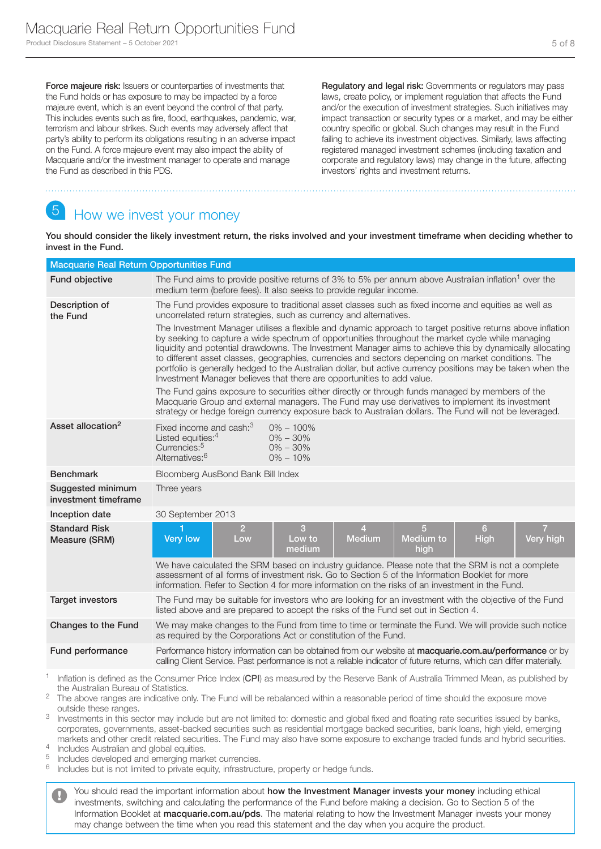Force majeure risk: Issuers or counterparties of investments that the Fund holds or has exposure to may be impacted by a force majeure event, which is an event beyond the control of that party. This includes events such as fire, flood, earthquakes, pandemic, war, terrorism and labour strikes. Such events may adversely affect that party's ability to perform its obligations resulting in an adverse impact on the Fund. A force majeure event may also impact the ability of Macquarie and/or the investment manager to operate and manage the Fund as described in this PDS.

Regulatory and legal risk: Governments or regulators may pass laws, create policy, or implement regulation that affects the Fund and/or the execution of investment strategies. Such initiatives may impact transaction or security types or a market, and may be either country specific or global. Such changes may result in the Fund failing to achieve its investment objectives. Similarly, laws affecting registered managed investment schemes (including taxation and corporate and regulatory laws) may change in the future, affecting investors' rights and investment returns.

# How we invest your money

You should consider the likely investment return, the risks involved and your investment timeframe when deciding whether to invest in the Fund.

| <b>Macquarie Real Return Opportunities Fund</b> |                                                                                                                                                                                                                                                                                                                                                                                                                                                                                                                                                                                                                                                                                                                                                                                                                                                                                                                                                                                                                                                                                                                             |                                                                       |                                                               |                             |
|-------------------------------------------------|-----------------------------------------------------------------------------------------------------------------------------------------------------------------------------------------------------------------------------------------------------------------------------------------------------------------------------------------------------------------------------------------------------------------------------------------------------------------------------------------------------------------------------------------------------------------------------------------------------------------------------------------------------------------------------------------------------------------------------------------------------------------------------------------------------------------------------------------------------------------------------------------------------------------------------------------------------------------------------------------------------------------------------------------------------------------------------------------------------------------------------|-----------------------------------------------------------------------|---------------------------------------------------------------|-----------------------------|
| Fund objective                                  | The Fund aims to provide positive returns of 3% to 5% per annum above Australian inflation <sup>1</sup> over the<br>medium term (before fees). It also seeks to provide regular income.                                                                                                                                                                                                                                                                                                                                                                                                                                                                                                                                                                                                                                                                                                                                                                                                                                                                                                                                     |                                                                       |                                                               |                             |
| Description of<br>the Fund                      | The Fund provides exposure to traditional asset classes such as fixed income and equities as well as<br>uncorrelated return strategies, such as currency and alternatives.<br>The Investment Manager utilises a flexible and dynamic approach to target positive returns above inflation<br>by seeking to capture a wide spectrum of opportunities throughout the market cycle while managing<br>liquidity and potential drawdowns. The Investment Manager aims to achieve this by dynamically allocating<br>to different asset classes, geographies, currencies and sectors depending on market conditions. The<br>portfolio is generally hedged to the Australian dollar, but active currency positions may be taken when the<br>Investment Manager believes that there are opportunities to add value.<br>The Fund gains exposure to securities either directly or through funds managed by members of the<br>Macquarie Group and external managers. The Fund may use derivatives to implement its investment<br>strategy or hedge foreign currency exposure back to Australian dollars. The Fund will not be leveraged. |                                                                       |                                                               |                             |
| Asset allocation <sup>2</sup>                   | Fixed income and cash: <sup>3</sup><br>Listed equities: <sup>4</sup><br>Currencies: <sup>5</sup><br>Alternatives: <sup>6</sup>                                                                                                                                                                                                                                                                                                                                                                                                                                                                                                                                                                                                                                                                                                                                                                                                                                                                                                                                                                                              | $0\% - 100\%$<br>$0\% - 30\%$<br>$0\% - 30\%$<br>$0\% - 10\%$         |                                                               |                             |
| <b>Benchmark</b>                                | Bloomberg AusBond Bank Bill Index                                                                                                                                                                                                                                                                                                                                                                                                                                                                                                                                                                                                                                                                                                                                                                                                                                                                                                                                                                                                                                                                                           |                                                                       |                                                               |                             |
| Suggested minimum<br>investment timeframe       | Three years                                                                                                                                                                                                                                                                                                                                                                                                                                                                                                                                                                                                                                                                                                                                                                                                                                                                                                                                                                                                                                                                                                                 |                                                                       |                                                               |                             |
| Inception date                                  | 30 September 2013                                                                                                                                                                                                                                                                                                                                                                                                                                                                                                                                                                                                                                                                                                                                                                                                                                                                                                                                                                                                                                                                                                           |                                                                       |                                                               |                             |
| <b>Standard Risk</b><br>Measure (SRM)           | $\overline{2}$<br><b>Very low</b><br>Low                                                                                                                                                                                                                                                                                                                                                                                                                                                                                                                                                                                                                                                                                                                                                                                                                                                                                                                                                                                                                                                                                    | $\overline{3}$<br>$\overline{4}$<br><b>Medium</b><br>Low to<br>medium | $\overline{5}$<br>6 <sup>1</sup><br>Medium to<br>High<br>high | $\overline{7}$<br>Very high |
|                                                 | We have calculated the SRM based on industry guidance. Please note that the SRM is not a complete<br>assessment of all forms of investment risk. Go to Section 5 of the Information Booklet for more<br>information. Refer to Section 4 for more information on the risks of an investment in the Fund.                                                                                                                                                                                                                                                                                                                                                                                                                                                                                                                                                                                                                                                                                                                                                                                                                     |                                                                       |                                                               |                             |
| <b>Target investors</b>                         | The Fund may be suitable for investors who are looking for an investment with the objective of the Fund<br>listed above and are prepared to accept the risks of the Fund set out in Section 4.                                                                                                                                                                                                                                                                                                                                                                                                                                                                                                                                                                                                                                                                                                                                                                                                                                                                                                                              |                                                                       |                                                               |                             |
| Changes to the Fund                             | We may make changes to the Fund from time to time or terminate the Fund. We will provide such notice<br>as required by the Corporations Act or constitution of the Fund.                                                                                                                                                                                                                                                                                                                                                                                                                                                                                                                                                                                                                                                                                                                                                                                                                                                                                                                                                    |                                                                       |                                                               |                             |
| Fund performance                                | Performance history information can be obtained from our website at macquarie.com.au/performance or by<br>calling Client Service. Past performance is not a reliable indicator of future returns, which can differ materially.                                                                                                                                                                                                                                                                                                                                                                                                                                                                                                                                                                                                                                                                                                                                                                                                                                                                                              |                                                                       |                                                               |                             |

Inflation is defined as the Consumer Price Index (CPI) as measured by the Reserve Bank of Australia Trimmed Mean, as published by the Australian Bureau of Statistics.

<sup>2</sup> The above ranges are indicative only. The Fund will be rebalanced within a reasonable period of time should the exposure move outside these ranges.

<sup>3</sup> Investments in this sector may include but are not limited to: domestic and global fixed and floating rate securities issued by banks, corporates, governments, asset-backed securities such as residential mortgage backed securities, bank loans, high yield, emerging markets and other credit related securities. The Fund may also have some exposure to exchange traded funds and hybrid securities.

 $\frac{4}{5}$  Includes Australian and global equities.

 $5$  Includes developed and emerging market currencies.<br> $6$  Includes but is not limited to private equity infrastruct

Includes but is not limited to private equity, infrastructure, property or hedge funds.

You should read the important information about how the Investment Manager invests your money including ethical investments, switching and calculating the performance of the Fund before making a decision. Go to Section 5 of the Information Booklet at macquarie.com.au/pds. The material relating to how the Investment Manager invests your money may change between the time when you read this statement and the day when you acquire the product.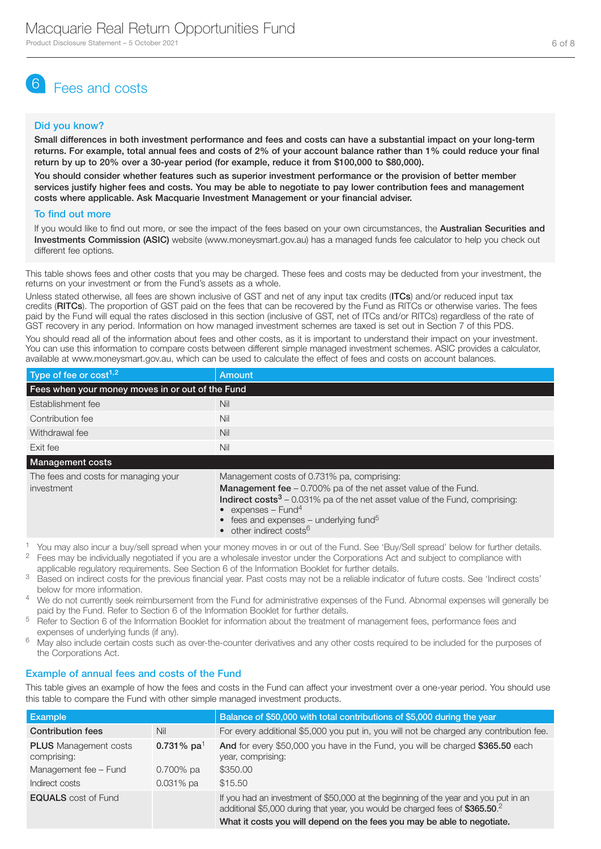# 6 Fees and costs

### Did you know?

Small differences in both investment performance and fees and costs can have a substantial impact on your long-term returns. For example, total annual fees and costs of 2% of your account balance rather than 1% could reduce your final return by up to 20% over a 30-year period (for example, reduce it from \$100,000 to \$80,000).

You should consider whether features such as superior investment performance or the provision of better member services justify higher fees and costs. You may be able to negotiate to pay lower contribution fees and management costs where applicable. Ask Macquarie Investment Management or your financial adviser.

### To find out more

If you would like to find out more, or see the impact of the fees based on your own circumstances, the Australian Securities and Investments Commission (ASIC) website (www.moneysmart.gov.au) has a managed funds fee calculator to help you check out different fee options.

This table shows fees and other costs that you may be charged. These fees and costs may be deducted from your investment, the returns on your investment or from the Fund's assets as a whole.

Unless stated otherwise, all fees are shown inclusive of GST and net of any input tax credits (ITCs) and/or reduced input tax credits (RITCs). The proportion of GST paid on the fees that can be recovered by the Fund as RITCs or otherwise varies. The fees paid by the Fund will equal the rates disclosed in this section (inclusive of GST, net of ITCs and/or RITCs) regardless of the rate of GST recovery in any period. Information on how managed investment schemes are taxed is set out in Section 7 of this PDS.

You should read all of the information about fees and other costs, as it is important to understand their impact on your investment. You can use this information to compare costs between different simple managed investment schemes. ASIC provides a calculator, available at www.moneysmart.gov.au, which can be used to calculate the effect of fees and costs on account balances.

| Type of fee or $cost1,2$                           | Amount                                                                                                                                                                                                                                                                                                                                           |  |  |
|----------------------------------------------------|--------------------------------------------------------------------------------------------------------------------------------------------------------------------------------------------------------------------------------------------------------------------------------------------------------------------------------------------------|--|--|
| Fees when your money moves in or out of the Fund   |                                                                                                                                                                                                                                                                                                                                                  |  |  |
| Establishment fee                                  | Nil                                                                                                                                                                                                                                                                                                                                              |  |  |
| Contribution fee                                   | Nil                                                                                                                                                                                                                                                                                                                                              |  |  |
| Withdrawal fee                                     | Nil                                                                                                                                                                                                                                                                                                                                              |  |  |
| Exit fee                                           | Nil                                                                                                                                                                                                                                                                                                                                              |  |  |
| <b>Management costs</b>                            |                                                                                                                                                                                                                                                                                                                                                  |  |  |
| The fees and costs for managing your<br>investment | Management costs of 0.731% pa, comprising:<br><b>Management fee</b> $-0.700\%$ pa of the net asset value of the Fund.<br><b>Indirect costs</b> $3 - 0.031\%$ pa of the net asset value of the Fund, comprising:<br>• expenses $-$ Fund <sup>4</sup><br>• fees and expenses – underlying fund <sup>5</sup><br>• other indirect costs <sup>6</sup> |  |  |

1 You may also incur a buy/sell spread when your money moves in or out of the Fund. See 'Buy/Sell spread' below for further details.<br>2. Fees may be individually perceptited if you are a wholesele investor under the Corpora <sup>2</sup> Fees may be individually negotiated if you are a wholesale investor under the Corporations Act and subject to compliance with

applicable regulatory requirements. See Section 6 of the Information Booklet for further details.

- <sup>3</sup> Based on indirect costs for the previous financial year. Past costs may not be a reliable indicator of future costs. See 'Indirect costs' below for more information.
- <sup>4</sup> We do not currently seek reimbursement from the Fund for administrative expenses of the Fund. Abnormal expenses will generally be paid by the Fund. Refer to Section 6 of the Information Booklet for further details.
- <sup>5</sup> Refer to Section 6 of the Information Booklet for information about the treatment of management fees, performance fees and expenses of underlying funds (if any).
- <sup>6</sup> May also include certain costs such as over-the-counter derivatives and any other costs required to be included for the purposes of the Corporations Act.

# Example of annual fees and costs of the Fund

This table gives an example of how the fees and costs in the Fund can affect your investment over a one-year period. You should use this table to compare the Fund with other simple managed investment products.

| Example                                     |               | Balance of \$50,000 with total contributions of \$5,000 during the year                                                                                             |
|---------------------------------------------|---------------|---------------------------------------------------------------------------------------------------------------------------------------------------------------------|
| <b>Contribution fees</b>                    | Nil           | For every additional \$5,000 you put in, you will not be charged any contribution fee.                                                                              |
| <b>PLUS</b> Management costs<br>comprising: | 0.731% $pa^1$ | And for every \$50,000 you have in the Fund, you will be charged \$365.50 each<br>year, comprising:                                                                 |
| Management fee - Fund                       | $0.700\%$ pa  | \$350,00                                                                                                                                                            |
| Indirect costs                              | $0.031\%$ pa  | \$15.50                                                                                                                                                             |
| <b>EQUALS</b> cost of Fund                  |               | If you had an investment of \$50,000 at the beginning of the year and you put in an<br>additional \$5,000 during that year, you would be charged fees of \$365.50.2 |
|                                             |               | What it costs you will depend on the fees you may be able to negotiate.                                                                                             |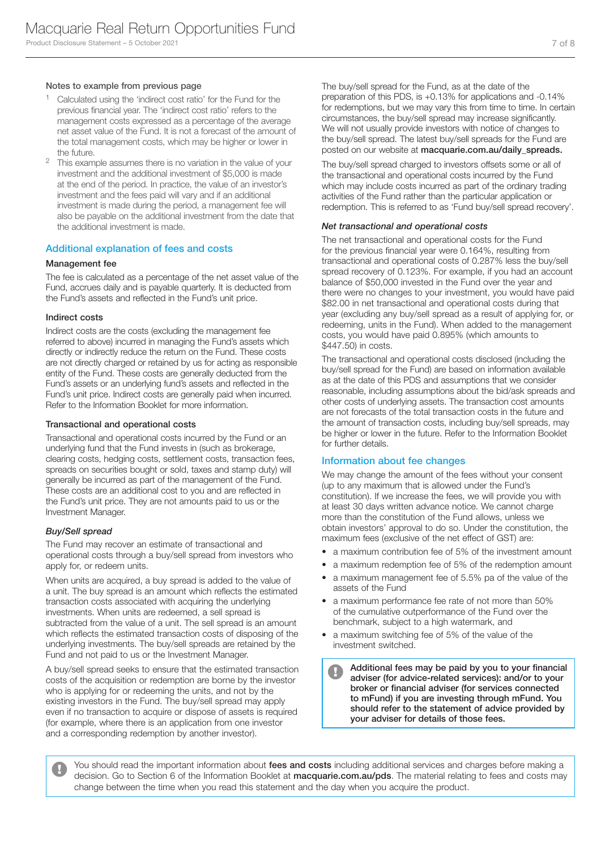#### Notes to example from previous page

- <sup>1</sup> Calculated using the 'indirect cost ratio' for the Fund for the previous financial year. The 'indirect cost ratio' refers to the management costs expressed as a percentage of the average net asset value of the Fund. It is not a forecast of the amount of the total management costs, which may be higher or lower in the future.
- <sup>2</sup> This example assumes there is no variation in the value of your investment and the additional investment of \$5,000 is made at the end of the period. In practice, the value of an investor's investment and the fees paid will vary and if an additional investment is made during the period, a management fee will also be payable on the additional investment from the date that the additional investment is made.

#### Additional explanation of fees and costs

### Management fee

The fee is calculated as a percentage of the net asset value of the Fund, accrues daily and is payable quarterly. It is deducted from the Fund's assets and reflected in the Fund's unit price.

#### Indirect costs

Indirect costs are the costs (excluding the management fee referred to above) incurred in managing the Fund's assets which directly or indirectly reduce the return on the Fund. These costs are not directly charged or retained by us for acting as responsible entity of the Fund. These costs are generally deducted from the Fund's assets or an underlying fund's assets and reflected in the Fund's unit price. Indirect costs are generally paid when incurred. Refer to the Information Booklet for more information.

#### Transactional and operational costs

Transactional and operational costs incurred by the Fund or an underlying fund that the Fund invests in (such as brokerage, clearing costs, hedging costs, settlement costs, transaction fees, spreads on securities bought or sold, taxes and stamp duty) will generally be incurred as part of the management of the Fund. These costs are an additional cost to you and are reflected in the Fund's unit price. They are not amounts paid to us or the Investment Manager.

#### *Buy/Sell spread*

The Fund may recover an estimate of transactional and operational costs through a buy/sell spread from investors who apply for, or redeem units.

When units are acquired, a buy spread is added to the value of a unit. The buy spread is an amount which reflects the estimated transaction costs associated with acquiring the underlying investments. When units are redeemed, a sell spread is subtracted from the value of a unit. The sell spread is an amount which reflects the estimated transaction costs of disposing of the underlying investments. The buy/sell spreads are retained by the Fund and not paid to us or the Investment Manager.

A buy/sell spread seeks to ensure that the estimated transaction costs of the acquisition or redemption are borne by the investor who is applying for or redeeming the units, and not by the existing investors in the Fund. The buy/sell spread may apply even if no transaction to acquire or dispose of assets is required (for example, where there is an application from one investor and a corresponding redemption by another investor).

The buy/sell spread for the Fund, as at the date of the preparation of this PDS, is +0.13% for applications and -0.14% for redemptions, but we may vary this from time to time. In certain circumstances, the buy/sell spread may increase significantly. We will not usually provide investors with notice of changes to the buy/sell spread. The latest buy/sell spreads for the Fund are posted on our website at macquarie.com.au/daily\_spreads.

The buy/sell spread charged to investors offsets some or all of the transactional and operational costs incurred by the Fund which may include costs incurred as part of the ordinary trading activities of the Fund rather than the particular application or redemption. This is referred to as 'Fund buy/sell spread recovery'.

#### *Net transactional and operational costs*

The net transactional and operational costs for the Fund for the previous financial year were 0.164%, resulting from transactional and operational costs of 0.287% less the buy/sell spread recovery of 0.123%. For example, if you had an account balance of \$50,000 invested in the Fund over the year and there were no changes to your investment, you would have paid \$82.00 in net transactional and operational costs during that year (excluding any buy/sell spread as a result of applying for, or redeeming, units in the Fund). When added to the management costs, you would have paid 0.895% (which amounts to \$447.50) in costs.

The transactional and operational costs disclosed (including the buy/sell spread for the Fund) are based on information available as at the date of this PDS and assumptions that we consider reasonable, including assumptions about the bid/ask spreads and other costs of underlying assets. The transaction cost amounts are not forecasts of the total transaction costs in the future and the amount of transaction costs, including buy/sell spreads, mav be higher or lower in the future. Refer to the Information Booklet for further details.

#### Information about fee changes

We may change the amount of the fees without your consent (up to any maximum that is allowed under the Fund's constitution). If we increase the fees, we will provide you with at least 30 days written advance notice. We cannot charge more than the constitution of the Fund allows, unless we obtain investors' approval to do so. Under the constitution, the maximum fees (exclusive of the net effect of GST) are:

- a maximum contribution fee of 5% of the investment amount
- a maximum redemption fee of 5% of the redemption amount
- a maximum management fee of 5.5% pa of the value of the assets of the Fund
- a maximum performance fee rate of not more than 50% of the cumulative outperformance of the Fund over the benchmark, subject to a high watermark, and
- a maximum switching fee of 5% of the value of the investment switched.

Additional fees may be paid by you to your financial  $\blacksquare$ adviser (for advice-related services): and/or to your broker or financial adviser (for services connected to mFund) if you are investing through mFund. You should refer to the statement of advice provided by your adviser for details of those fees.

You should read the important information about fees and costs including additional services and charges before making a decision. Go to Section 6 of the Information Booklet at macquarie.com.au/pds. The material relating to fees and costs may change between the time when you read this statement and the day when you acquire the product.